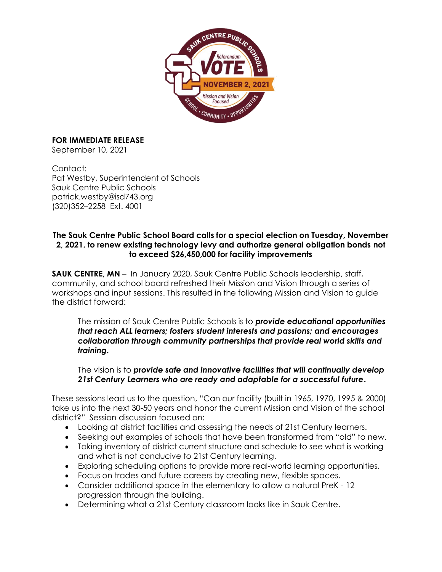

## **FOR IMMEDIATE RELEASE**

September 10, 2021

Contact: Pat Westby, Superintendent of Schools Sauk Centre Public Schools patrick.westby@isd743.org (320)352–2258 Ext. 4001

## **The Sauk Centre Public School Board calls for a special election on Tuesday, November 2, 2021, to renew existing technology levy and authorize general obligation bonds not to exceed \$26,450,000 for facility improvements**

**SAUK CENTRE, MN** – In January 2020, Sauk Centre Public Schools leadership, staff, community, and school board refreshed their Mission and Vision through a series of workshops and input sessions. This resulted in the following Mission and Vision to guide the district forward:

The mission of Sauk Centre Public Schools is to *provide educational opportunities that reach ALL learners; fosters student interests and passions; and encourages collaboration through community partnerships that provide real world skills and training***.** 

The vision is to *provide safe and innovative facilities that will continually develop 21st Century Learners who are ready and adaptable for a successful future***.**

These sessions lead us to the question, "Can our facility (built in 1965, 1970, 1995 & 2000) take us into the next 30-50 years and honor the current Mission and Vision of the school district?" Session discussion focused on:

- Looking at district facilities and assessing the needs of 21st Century learners.
- Seeking out examples of schools that have been transformed from "old" to new.
- Taking inventory of district current structure and schedule to see what is working and what is not conducive to 21st Century learning.
- Exploring scheduling options to provide more real-world learning opportunities.
- Focus on trades and future careers by creating new, flexible spaces.
- Consider additional space in the elementary to allow a natural PreK 12 progression through the building.
- Determining what a 21st Century classroom looks like in Sauk Centre.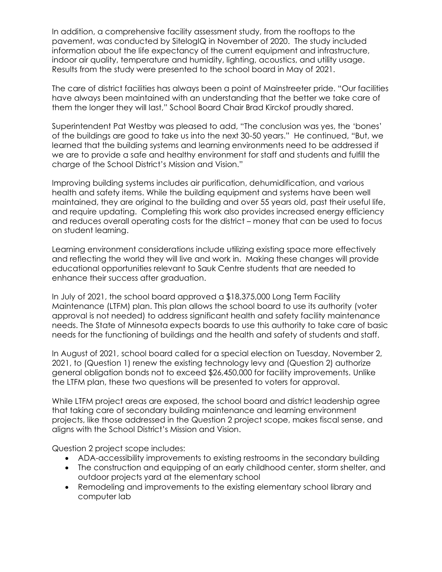In addition, a comprehensive facility assessment study, from the rooftops to the pavement, was conducted by SitelogIQ in November of 2020. The study included information about the life expectancy of the current equipment and infrastructure, indoor air quality, temperature and humidity, lighting, acoustics, and utility usage. Results from the study were presented to the school board in May of 2021.

The care of district facilities has always been a point of Mainstreeter pride. "Our facilities have always been maintained with an understanding that the better we take care of them the longer they will last," School Board Chair Brad Kirckof proudly shared.

Superintendent Pat Westby was pleased to add, "The conclusion was yes, the 'bones' of the buildings are good to take us into the next 30-50 years." He continued, "But, we learned that the building systems and learning environments need to be addressed if we are to provide a safe and healthy environment for staff and students and fulfill the charge of the School District's Mission and Vision."

Improving building systems includes air purification, dehumidification, and various health and safety items. While the building equipment and systems have been well maintained, they are original to the building and over 55 years old, past their useful life, and require updating. Completing this work also provides increased energy efficiency and reduces overall operating costs for the district – money that can be used to focus on student learning.

Learning environment considerations include utilizing existing space more effectively and reflecting the world they will live and work in. Making these changes will provide educational opportunities relevant to Sauk Centre students that are needed to enhance their success after graduation.

In July of 2021, the school board approved a \$18,375,000 Long Term Facility Maintenance (LTFM) plan. This plan allows the school board to use its authority (voter approval is not needed) to address significant health and safety facility maintenance needs. The State of Minnesota expects boards to use this authority to take care of basic needs for the functioning of buildings and the health and safety of students and staff.

In August of 2021, school board called for a special election on Tuesday, November 2, 2021, to (Question 1) renew the existing technology levy and (Question 2) authorize general obligation bonds not to exceed \$26,450,000 for facility improvements. Unlike the LTFM plan, these two questions will be presented to voters for approval.

While LTFM project areas are exposed, the school board and district leadership agree that taking care of secondary building maintenance and learning environment projects, like those addressed in the Question 2 project scope, makes fiscal sense, and aligns with the School District's Mission and Vision.

Question 2 project scope includes:

- ADA-accessibility improvements to existing restrooms in the secondary building
- The construction and equipping of an early childhood center, storm shelter, and outdoor projects yard at the elementary school
- Remodeling and improvements to the existing elementary school library and computer lab